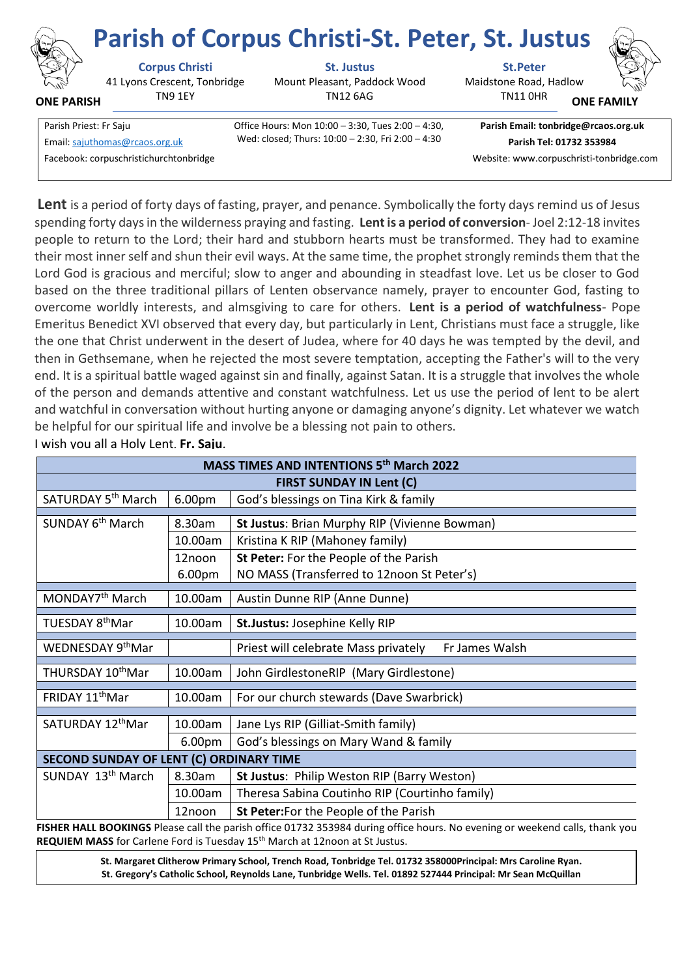

**ONE PARISH**

## **Parish of Corpus Christi-St. Peter, St. Justus**

41 Lyons Crescent, Tonbridge TN9 1EY

**Corpus Christi St. Justus St.Peter**

Mount Pleasant, Paddock Wood TN12 6AG

Maidstone Road, Hadlow

TN11 0HR **ONE FAMIL** 

Parish Priest: Fr Saju Office Hours: Mon 10:00 – 3:30, Tues 2:00 – 4:30, Facebook: corpuschristichurchtonbridge Website: www.corpuschristi-tonbridge.com

Wed: closed; Thurs: 10:00 – 2:30, Fri 2:00 – 4:30 Email[: sajuthomas@rcaos.org.uk](about:blank) **Parish Tel: 01732 353984**

**Parish Email: tonbridge@rcaos.org.uk**

**Lent** is a period of forty days of fasting, prayer, and penance. Symbolically the forty days remind us of Jesus spending forty days in the wilderness praying and fasting. **Lent is a period of conversion**- Joel 2:12-18 invites people to return to the Lord; their hard and stubborn hearts must be transformed. They had to examine their most inner self and shun their evil ways. At the same time, the prophet strongly reminds them that the Lord God is gracious and merciful; slow to anger and abounding in steadfast love. Let us be closer to God based on the three traditional pillars of Lenten observance namely, prayer to encounter God, fasting to overcome worldly interests, and almsgiving to care for others. **Lent is a period of watchfulness**- Pope Emeritus Benedict XVI observed that every day, but particularly in Lent, Christians must face a struggle, like the one that Christ underwent in the desert of Judea, where for 40 days he was tempted by the devil, and then in Gethsemane, when he rejected the most severe temptation, accepting the Father's will to the very end. It is a spiritual battle waged against sin and finally, against Satan. It is a struggle that involves the whole of the person and demands attentive and constant watchfulness. Let us use the period of lent to be alert and watchful in conversation without hurting anyone or damaging anyone's dignity. Let whatever we watch be helpful for our spiritual life and involve be a blessing not pain to others.

es to be filled with the gifts and the from the from the from the from the from the from the fruits of the fruits of the fruits of the fruits of the Holy Spirit. Fr. Saju. Saju. Saju. Saju. Saju. Saju. Saju. Saju. Saju. Sa  **MASS TIMES AND INTENTIONS 5 th March 2022 FIRST SUNDAY IN Lent (C)** SATURDAY 5<sup>th</sup> March 6.00pm  $\vert$  God's blessings on Tina Kirk & family SUNDAY 6<sup>th</sup> March 8.30am **St Justus**: Brian Murphy RIP (Vivienne Bowman) 10.00am | Kristina K RIP (Mahoney family) 12noon 6.00pm **St Peter:** For the People of the Parish NO MASS (Transferred to 12noon St Peter's) MONDAY7<sup>th</sup> March | 10.00am | Austin Dunne RIP (Anne Dunne) **TUESDAY 8thMar** 10.00am | St.Justus: Josephine Kelly RIP WEDNESDAY 9th Mar Priest will celebrate Mass privately Fr James Walsh THURSDAY 10<sup>th</sup>Mar | 10.00am | John GirdlestoneRIP (Mary Girdlestone) FRIDAY 11<sup>th</sup>Mar  $\vert$  10.00am For our church stewards (Dave Swarbrick) SATURDAY  $12^{th}$ Mar | 10.00am | Jane Lys RIP (Gilliat-Smith family) **SECOND SUNDAY OF LENT (C) ORDINARY TIME**  SUNDAY 13<sup>th</sup> March 8.30am St Justus: Philip Weston RIP (Barry Weston) 10.00am | Theresa Sabina Coutinho RIP (Courtinho family) 12noon **St Peter:**For the People of the Parish

I wish you all a Holy Lent. **Fr. Saju**.

FISHER HALL BOOKINGS Please call the parish office 01732 353984 during office hours. No evening or weekend calls, thank you. REQUIEM MASS for Carlene Ford is Tuesday 15<sup>th</sup> March at 12noon at St Justus.

> **St. Margaret Clitherow Primary School, Trench Road, Tonbridge Tel. 01732 358000Principal: Mrs Caroline Ryan. St. Gregory's Catholic School, Reynolds Lane, Tunbridge Wells. Tel. 01892 527444 Principal: Mr Sean McQuillan**